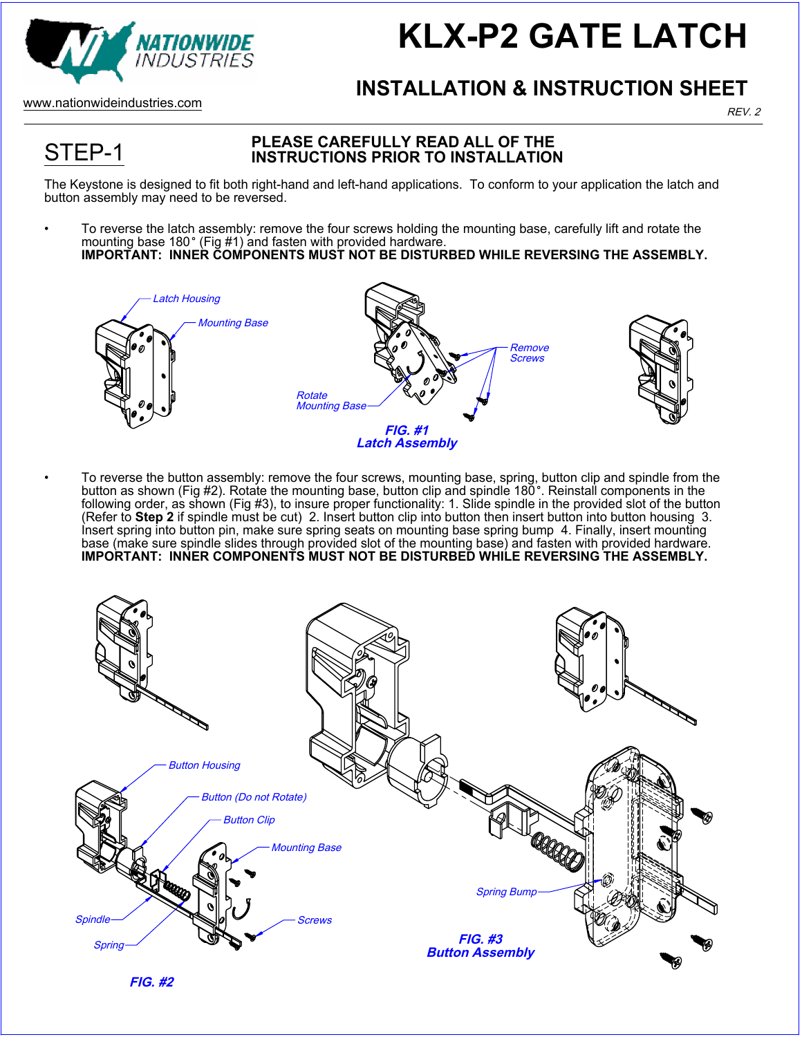

## **KLX-P2 GATE LATCH**

REV. 2

#### **INSTALLATION & INSTRUCTION SHEET**

www.nationwideindustries.com

STEP-1

#### **PLEASE CAREFULLY READ ALL OF THE INSTRUCTIONS PRIOR TO INSTALLATION**

The Keystone is designed to fit both right-hand and left-hand applications. To conform to your application the latch and button assembly may need to be reversed.

• To reverse the latch assembly: remove the four screws holding the mounting base, carefully lift and rotate the mounting base 180° (Fig #1) and fasten with provided hardware. **IMPORTANT: INNER COMPONENTS MUST NOT BE DISTURBED WHILE REVERSING THE ASSEMBLY.**



• To reverse the button assembly: remove the four screws, mounting base, spring, button clip and spindle from the button as shown (Fig #2). Rotate the mounting base, button clip and spindle 180°. Reinstall components in the following order, as shown (Fig #3), to insure proper functionality: 1. Slide spindle in the provided slot of the button (Refer to **Step 2** if spindle must be cut) 2. Insert button clip into button then insert button into button housing 3. Insert spring into button pin, make sure spring seats on mounting base spring bump 4. Finally, insert mounting base (make sure spindle slides through provided slot of the mounting base) and fasten with provided hardware. **IMPORTANT: INNER COMPONENTS MUST NOT BE DISTURBED WHILE REVERSING THE ASSEMBLY.**



**FIG. #2**